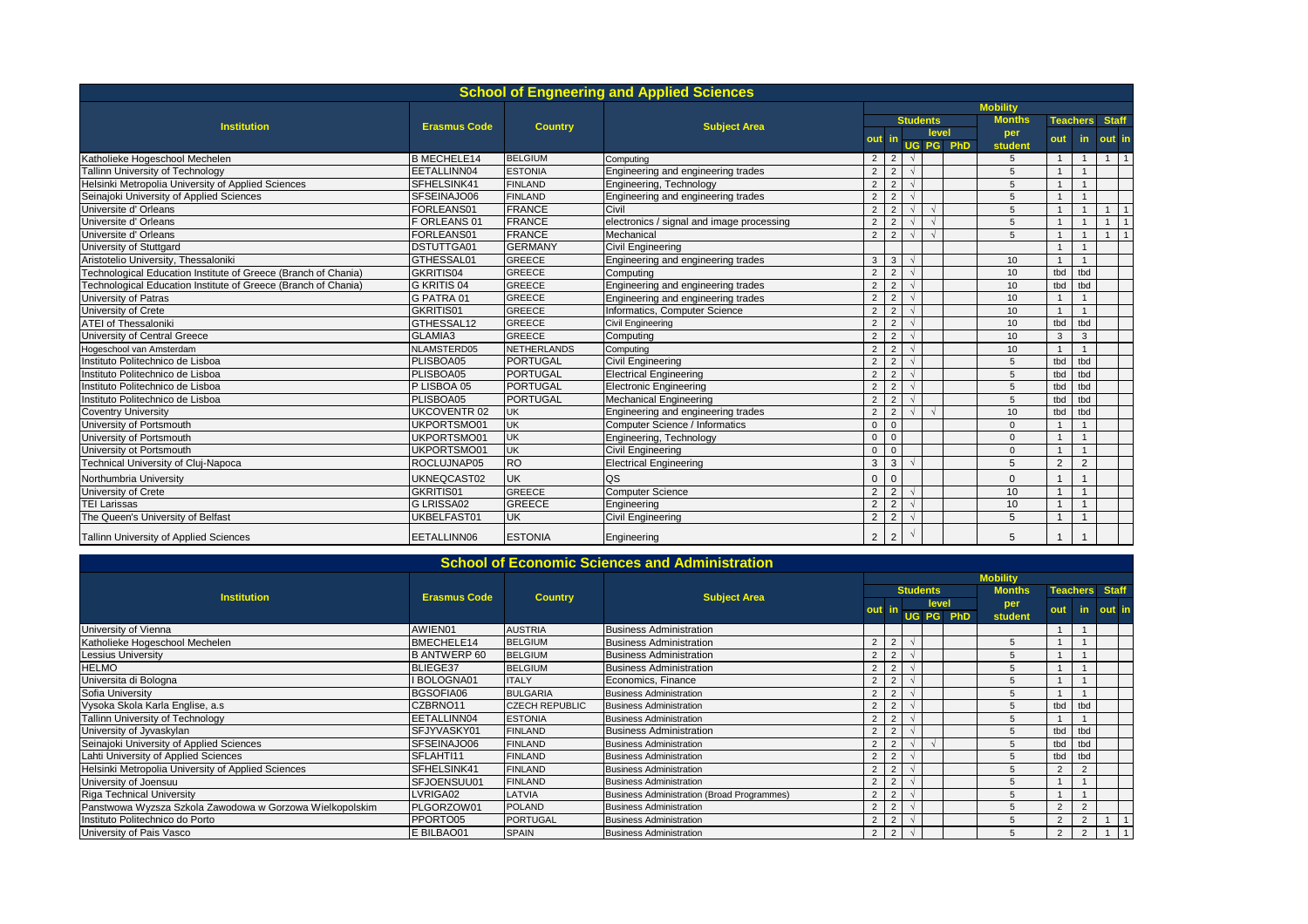| <b>School of Engneering and Applied Sciences</b>               |                     |                    |                                           |                 |                |        |                 |                  |                |     |                 |                |                |  |  |  |
|----------------------------------------------------------------|---------------------|--------------------|-------------------------------------------|-----------------|----------------|--------|-----------------|------------------|----------------|-----|-----------------|----------------|----------------|--|--|--|
|                                                                |                     |                    |                                           | <b>Mobility</b> |                |        |                 |                  |                |     |                 |                |                |  |  |  |
|                                                                |                     | <b>Country</b>     | <b>Subject Area</b>                       |                 |                |        | <b>Students</b> |                  | <b>Months</b>  |     | <b>Teachers</b> | <b>Staff</b>   |                |  |  |  |
| <b>Institution</b>                                             | <b>Erasmus Code</b> |                    |                                           |                 |                |        | level           |                  | per            |     |                 |                |                |  |  |  |
|                                                                |                     |                    |                                           |                 |                |        |                 | <b>UG PG PhD</b> | student        | out | in.             | out in         |                |  |  |  |
| Katholieke Hogeschool Mechelen                                 | <b>B MECHELE14</b>  | <b>BELGIUM</b>     | Computing                                 | $\overline{2}$  | $\overline{2}$ |        |                 |                  | 5              |     | $\mathbf{1}$    | $1 \quad$      | $\overline{1}$ |  |  |  |
| Tallinn University of Technology                               | EETALLINN04         | <b>ESTONIA</b>     | Engineering and engineering trades        | 2               | $\overline{2}$ |        |                 |                  | 5              |     |                 |                |                |  |  |  |
| Helsinki Metropolia University of Applied Sciences             | SFHELSINK41         | <b>FINLAND</b>     | Engineering, Technology                   | 2               | $\overline{2}$ |        |                 |                  | 5              |     |                 |                |                |  |  |  |
| Seinajoki University of Applied Sciences                       | SFSEINAJO06         | <b>FINLAND</b>     | Engineering and engineering trades        | $\overline{2}$  | 2              |        |                 |                  | 5              |     |                 |                |                |  |  |  |
| Universite d' Orleans                                          | FORLEANS01          | <b>FRANCE</b>      | Civil                                     | 2               | $\overline{2}$ |        | $\sim$          |                  | $\overline{5}$ |     | $\overline{1}$  | $\mathbf{1}$   | $\overline{1}$ |  |  |  |
| Universite d'Orleans                                           | F ORLEANS 01        | <b>FRANCE</b>      | electronics / signal and image processing | $\overline{2}$  | $\overline{2}$ |        |                 |                  | $\overline{5}$ |     |                 | 1              | $\overline{1}$ |  |  |  |
| Universite d' Orleans                                          | FORLEANS01          | <b>FRANCE</b>      | Mechanical                                | $\overline{2}$  | $\overline{2}$ | $\sim$ | $\sim$          |                  | $\overline{5}$ |     | $\overline{ }$  | 1 <sup>1</sup> | $\overline{1}$ |  |  |  |
| University of Stuttgard                                        | DSTUTTGA01          | <b>GERMANY</b>     | <b>Civil Engineering</b>                  |                 |                |        |                 |                  |                |     |                 |                |                |  |  |  |
| Aristotelio University, Thessaloniki                           | GTHESSAL01          | <b>GREECE</b>      | Engineering and engineering trades        | 3               | $\mathbf{3}$   |        |                 |                  | 10             |     |                 |                |                |  |  |  |
| Technological Education Institute of Greece (Branch of Chania) | GKRITIS04           | <b>GREECE</b>      | Computing                                 | 2               | 2              |        |                 |                  | 10             | tbd | tbd             |                |                |  |  |  |
| Technological Education Institute of Greece (Branch of Chania) | G KRITIS 04         | <b>GREECE</b>      | Engineering and engineering trades        | 2               | $\overline{2}$ |        |                 |                  | 10             | tbd | tbd             |                |                |  |  |  |
| University of Patras                                           | G PATRA 01          | <b>GREECE</b>      | Engineering and engineering trades        | 2               | $\overline{2}$ |        |                 |                  | 10             |     |                 |                |                |  |  |  |
| University of Crete                                            | GKRITIS01           | <b>GREECE</b>      | Informatics, Computer Science             | 2               | $\overline{2}$ |        |                 |                  | 10             |     |                 |                |                |  |  |  |
| <b>ATEI of Thessaloniki</b>                                    | GTHESSAL12          | <b>GREECE</b>      | Civil Engineering                         | $\overline{2}$  | $\overline{2}$ |        |                 |                  | 10             | tbd | tbd             |                |                |  |  |  |
| University of Central Greece                                   | GLAMIA3             | <b>GREECE</b>      | Computing                                 | $\overline{2}$  | $\overline{2}$ |        |                 |                  | 10             | 3   | 3               |                |                |  |  |  |
| Hogeschool van Amsterdam                                       | NLAMSTERD05         | <b>NETHERLANDS</b> | Computing                                 | $\overline{2}$  | $\overline{2}$ |        |                 |                  | 10             |     |                 |                |                |  |  |  |
| Instituto Politechnico de Lisboa                               | PLISBOA05           | <b>PORTUGAL</b>    | Civil Engineering                         | $\overline{2}$  | $\overline{2}$ |        |                 |                  | 5              | tbd | tbd             |                |                |  |  |  |
| Instituto Politechnico de Lisboa                               | PLISBOA05           | <b>PORTUGAL</b>    | <b>Electrical Engineering</b>             | 2               | $\overline{2}$ |        |                 |                  | 5              | tbd | tbd             |                |                |  |  |  |
| Instituto Politechnico de Lisboa                               | P LISBOA 05         | <b>PORTUGAL</b>    | <b>Electronic Engineering</b>             | 2               | $\overline{2}$ |        |                 |                  | 5              | tbd | tbd             |                |                |  |  |  |
| Instituto Politechnico de Lisboa                               | PLISBOA05           | <b>PORTUGAL</b>    | <b>Mechanical Engineering</b>             | 2               | $\overline{2}$ |        |                 |                  | 5              | tbd | tbd             |                |                |  |  |  |
| <b>Coventry University</b>                                     | <b>UKCOVENTR02</b>  | UK                 | Engineering and engineering trades        | 2               | $\overline{2}$ |        |                 |                  | 10             | tbd | tbd             |                |                |  |  |  |
| University of Portsmouth                                       | UKPORTSMO01         | <b>UK</b>          | Computer Science / Informatics            | $\Omega$        | $\Omega$       |        |                 |                  | $\Omega$       |     |                 |                |                |  |  |  |
| University of Portsmouth                                       | UKPORTSMO01         | <b>UK</b>          | Engineering, Technology                   | $\Omega$        | $\Omega$       |        |                 |                  | $\Omega$       |     |                 |                |                |  |  |  |
| University ot Portsmouth                                       | UKPORTSMO01         | <b>UK</b>          | <b>Civil Engineering</b>                  | $\Omega$        | $\Omega$       |        |                 |                  | $\Omega$       |     |                 |                |                |  |  |  |
| Technical University of Cluj-Napoca                            | ROCLUJNAP05         | <b>RO</b>          | <b>Electrical Engineering</b>             | 3               | $\mathbf{3}$   |        |                 |                  | 5              | 2   | $\overline{2}$  |                |                |  |  |  |
| Northumbria University                                         | UKNEQCAST02         | <b>UK</b>          | QS                                        | $\Omega$        | $\Omega$       |        |                 |                  | $\Omega$       |     |                 |                |                |  |  |  |
| University of Crete                                            | GKRITIS01           | <b>GREECE</b>      | <b>Computer Science</b>                   | 2               | $\overline{2}$ |        |                 |                  | 10             |     |                 |                |                |  |  |  |
| <b>TEI Larissas</b>                                            | G LRISSA02          | <b>GREECE</b>      | Engineering                               | $\overline{2}$  | $\overline{2}$ |        |                 |                  | 10             |     |                 |                |                |  |  |  |
| The Queen's University of Belfast                              | UKBELFAST01         | <b>UK</b>          | <b>Civil Engineering</b>                  | $\overline{2}$  | 2              |        |                 |                  | 5              |     |                 |                |                |  |  |  |
| Tallinn University of Applied Sciences                         | EETALLINN06         | <b>ESTONIA</b>     | Engineering                               | $\overline{2}$  | $\overline{2}$ |        |                 |                  | 5              |     |                 |                |                |  |  |  |

| <b>School of Economic Sciences and Administration</b>    |                     |                       |                                            |                 |                |  |       |           |               |                |                |                       |  |  |  |
|----------------------------------------------------------|---------------------|-----------------------|--------------------------------------------|-----------------|----------------|--|-------|-----------|---------------|----------------|----------------|-----------------------|--|--|--|
|                                                          |                     | <b>Country</b>        |                                            | <b>Mobility</b> |                |  |       |           |               |                |                |                       |  |  |  |
| <b>Institution</b>                                       | <b>Erasmus Code</b> |                       | <b>Subject Area</b>                        | <b>Students</b> |                |  |       |           | <b>Months</b> |                |                | <b>Teachers</b> Staff |  |  |  |
|                                                          |                     |                       |                                            | out             |                |  | level |           | per           | out            | in.            | out in                |  |  |  |
|                                                          |                     |                       |                                            |                 |                |  |       | UG PG PhD | student       |                |                |                       |  |  |  |
| University of Vienna                                     | AWIEN01             | <b>AUSTRIA</b>        | <b>Business Administration</b>             |                 |                |  |       |           |               |                |                |                       |  |  |  |
| Katholieke Hogeschool Mechelen                           | BMECHELE14          | <b>BELGIUM</b>        | <b>Business Administration</b>             | $\overline{2}$  |                |  |       |           | 5             |                |                |                       |  |  |  |
| Lessius University                                       | <b>B ANTWERP 60</b> | <b>BELGIUM</b>        | <b>Business Administration</b>             | $\overline{2}$  | 2              |  |       |           |               |                |                |                       |  |  |  |
| HELMO                                                    | BLIEGE37            | <b>BELGIUM</b>        | <b>Business Administration</b>             | 2               |                |  |       |           | 5             |                |                |                       |  |  |  |
| Universita di Bologna                                    | <b>BOLOGNA01</b>    | <b>ITALY</b>          | Economics, Finance                         | 2               |                |  |       |           | 5             |                |                |                       |  |  |  |
| Sofia University                                         | BGSOFIA06           | <b>BULGARIA</b>       | <b>Business Administration</b>             | $\overline{2}$  | $\overline{2}$ |  |       |           |               |                |                |                       |  |  |  |
| Vysoka Skola Karla Englise, a.s                          | CZBRNO11            | <b>CZECH REPUBLIC</b> | <b>Business Administration</b>             | $\overline{2}$  |                |  |       |           |               | tbd            | tbd            |                       |  |  |  |
| <b>Tallinn University of Technology</b>                  | EETALLINN04         | <b>ESTONIA</b>        | <b>Business Administration</b>             | $\overline{2}$  |                |  |       |           | 5             |                |                |                       |  |  |  |
| University of Jyvaskylan                                 | SFJYVASKY01         | <b>FINLAND</b>        | <b>Business Administration</b>             | $\overline{2}$  | $\overline{2}$ |  |       |           |               | tbd            | tbd            |                       |  |  |  |
| Seinajoki University of Applied Sciences                 | SFSEINAJO06         | <b>FINLAND</b>        | <b>Business Administration</b>             | 2               |                |  |       |           | 5             | tbd            | tbd            |                       |  |  |  |
| Lahti University of Applied Sciences                     | SFLAHTI11           | <b>FINLAND</b>        | <b>Business Administration</b>             | $\overline{2}$  |                |  |       |           | 5.            | tbd            | tbd            |                       |  |  |  |
| Helsinki Metropolia University of Applied Sciences       | SFHELSINK41         | <b>FINLAND</b>        | <b>Business Administration</b>             | 2               | $\overline{2}$ |  |       |           |               | 2              |                |                       |  |  |  |
| University of Joensuu                                    | SFJOENSUU01         | <b>FINLAND</b>        | <b>Business Administration</b>             | 2               |                |  |       |           |               |                |                |                       |  |  |  |
| <b>Riga Technical University</b>                         | LVRIGA02            | LATVIA                | Business Administration (Broad Programmes) | 2               |                |  |       |           | 5             |                |                |                       |  |  |  |
| Panstwowa Wyzsza Szkola Zawodowa w Gorzowa Wielkopolskim | PLGORZOW01          | <b>POLAND</b>         | <b>Business Administration</b>             | $\overline{2}$  | 2              |  |       |           |               | $\overline{2}$ |                |                       |  |  |  |
| Instituto Politechnico do Porto                          | PPORTO05            | <b>PORTUGAL</b>       | <b>Business Administration</b>             | $\overline{2}$  | $\overline{2}$ |  |       |           | 5.            | 2              | $\overline{2}$ |                       |  |  |  |
| University of Pais Vasco                                 | E BILBAO01          | <b>SPAIN</b>          | <b>Business Administration</b>             | 2               | 2              |  |       |           |               | 2              |                |                       |  |  |  |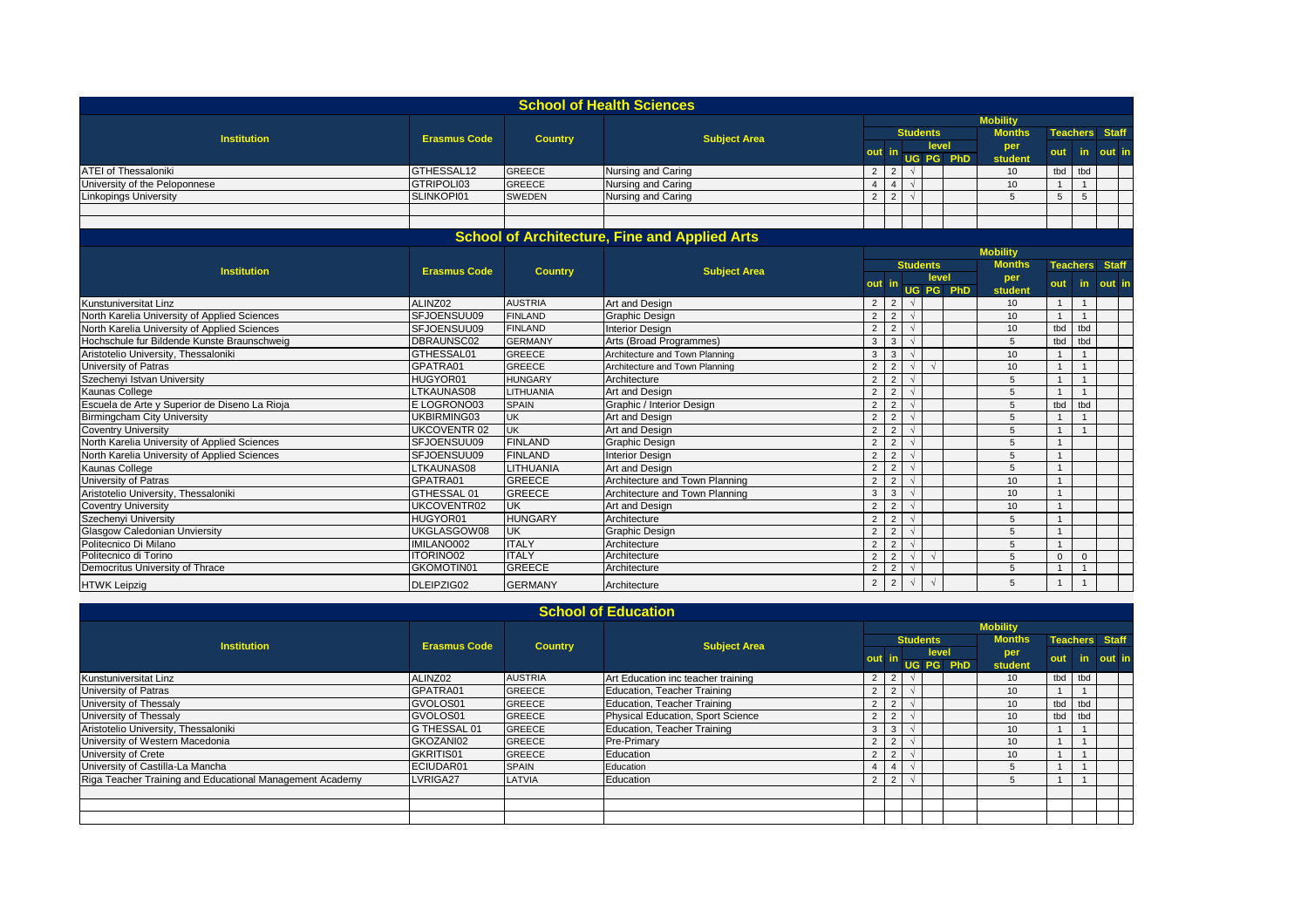|                                               |                     |                  | <b>School of Health Sciences</b>                     |                 |                |                 |          |           |                 |                 |                |              |  |  |  |
|-----------------------------------------------|---------------------|------------------|------------------------------------------------------|-----------------|----------------|-----------------|----------|-----------|-----------------|-----------------|----------------|--------------|--|--|--|
|                                               |                     |                  |                                                      | <b>Mobility</b> |                |                 |          |           |                 |                 |                |              |  |  |  |
| <b>Institution</b>                            |                     |                  |                                                      |                 |                | <b>Students</b> |          |           | <b>Months</b>   | <b>Teachers</b> |                | <b>Staff</b> |  |  |  |
|                                               | <b>Erasmus Code</b> | <b>Country</b>   | <b>Subject Area</b>                                  |                 |                |                 | level    |           | per             |                 |                |              |  |  |  |
|                                               |                     |                  |                                                      | out             |                |                 |          | UG PG PhD | student         | out             | in             | out in       |  |  |  |
| <b>ATEI of Thessaloniki</b>                   | GTHESSAL12          | <b>GREECE</b>    | Nursing and Caring                                   | 2 <sup>1</sup>  | 2              | $\sqrt{ }$      |          |           | 10              | tbd             | tbd            |              |  |  |  |
| University of the Peloponnese                 | GTRIPOLI03          | <b>GREECE</b>    | Nursing and Caring                                   | $\overline{4}$  |                | $\sqrt{ }$      |          |           | 10              | $\overline{1}$  | $\overline{1}$ |              |  |  |  |
| <b>Linkopings University</b>                  | SLINKOPI01          | <b>SWEDEN</b>    | Nursing and Caring                                   | $\overline{2}$  | $\overline{2}$ | $\sqrt{ }$      |          |           | 5               | 5               | $\sqrt{5}$     |              |  |  |  |
|                                               |                     |                  |                                                      |                 |                |                 |          |           |                 |                 |                |              |  |  |  |
|                                               |                     |                  |                                                      |                 |                |                 |          |           |                 |                 |                |              |  |  |  |
|                                               |                     |                  | <b>School of Architecture, Fine and Applied Arts</b> |                 |                |                 |          |           |                 |                 |                |              |  |  |  |
|                                               |                     |                  |                                                      |                 |                |                 |          |           | <b>Mobility</b> |                 |                |              |  |  |  |
| <b>Institution</b>                            | <b>Erasmus Code</b> | <b>Country</b>   | <b>Subject Area</b>                                  |                 |                | <b>Students</b> |          |           | <b>Months</b>   | <b>Teachers</b> |                | <b>Staff</b> |  |  |  |
|                                               |                     |                  |                                                      | out             |                |                 | level    |           | per             | out             | in.            | out in       |  |  |  |
|                                               |                     |                  |                                                      |                 |                |                 | UG PG    | PhD       | student         |                 |                |              |  |  |  |
| Kunstuniversitat Linz                         | ALINZ02             | <b>AUSTRIA</b>   | Art and Design                                       | 2 <sup>1</sup>  | $\vert$ 2      | $\sqrt{ }$      |          |           | 10              | $\overline{1}$  | $\overline{1}$ |              |  |  |  |
| North Karelia University of Applied Sciences  | SFJOENSUU09         | <b>FINLAND</b>   | <b>Graphic Design</b>                                | 2               | 2              |                 |          |           | 10              | $\mathbf{1}$    | $\overline{1}$ |              |  |  |  |
| North Karelia University of Applied Sciences  | SFJOENSUU09         | <b>FINLAND</b>   | <b>Interior Design</b>                               | $\overline{2}$  | 2              | $\sqrt{ }$      |          |           | 10              | tbd             | tbd            |              |  |  |  |
| Hochschule fur Bildende Kunste Braunschweig   | DBRAUNSC02          | <b>GERMANY</b>   | Arts (Broad Programmes)                              | $\mathbf{3}$    | $\overline{3}$ | $\sqrt{ }$      |          |           | 5               | tbd             | tbd            |              |  |  |  |
| Aristotelio University, Thessaloniki          | GTHESSAL01          | <b>GREECE</b>    | Architecture and Town Planning                       | $\mathbf{3}$    | $\mathbf{3}$   | $\sqrt{ }$      |          |           | 10              | $\overline{1}$  | $\overline{1}$ |              |  |  |  |
| University of Patras                          | GPATRA01            | <b>GREECE</b>    | Architecture and Town Planning                       | 2               | 2              | $\sqrt{ }$      |          |           | 10              | $\overline{1}$  | $\overline{1}$ |              |  |  |  |
| Szechenyi Istvan University                   | HUGYOR01            | <b>HUNGARY</b>   | Architecture                                         | 2               | $\overline{2}$ |                 |          |           | 5               | $\overline{1}$  | $\overline{1}$ |              |  |  |  |
| Kaunas College                                | LTKAUNAS08          | <b>LITHUANIA</b> | Art and Design                                       | $\overline{2}$  | 2              | $\sqrt{ }$      |          |           | 5               | $\overline{1}$  | $\overline{1}$ |              |  |  |  |
| Escuela de Arte y Superior de Diseno La Rioja | E LOGRONO03         | <b>SPAIN</b>     | Graphic / Interior Design                            | $\overline{2}$  | $\overline{2}$ | $\sqrt{ }$      |          |           | 5               | tbd             | tbd            |              |  |  |  |
| <b>Birmingcham City University</b>            | UKBIRMING03         | <b>UK</b>        | Art and Design                                       | 2               | $\overline{2}$ |                 |          |           | 5               | $\overline{1}$  | $\overline{1}$ |              |  |  |  |
| <b>Coventry University</b>                    | <b>UKCOVENTR 02</b> | <b>UK</b>        | Art and Design                                       | $\overline{2}$  | $\overline{2}$ | $\sqrt{ }$      |          |           | 5               | $\overline{1}$  | $\overline{1}$ |              |  |  |  |
| North Karelia University of Applied Sciences  | SFJOENSUU09         | <b>FINLAND</b>   | <b>Graphic Design</b>                                | $\overline{2}$  | 2              | $\sqrt{ }$      |          |           | 5               | $\overline{1}$  |                |              |  |  |  |
| North Karelia University of Applied Sciences  | SFJOENSUU09         | <b>FINLAND</b>   | <b>Interior Design</b>                               | $\overline{2}$  | 2              | $\sqrt{ }$      |          |           | 5               | $\overline{1}$  |                |              |  |  |  |
| Kaunas College                                | LTKAUNAS08          | LITHUANIA        | Art and Design                                       | $\overline{2}$  | $\overline{2}$ |                 |          |           | 5               | $\mathbf{1}$    |                |              |  |  |  |
| University of Patras                          | GPATRA01            | <b>GREECE</b>    | Architecture and Town Planning                       | $\overline{2}$  | 2              | $\sqrt{ }$      |          |           | 10              | $\overline{1}$  |                |              |  |  |  |
| Aristotelio University, Thessaloniki          | GTHESSAL 01         | <b>GREECE</b>    | Architecture and Town Planning                       | $\mathbf{3}$    | $\mathbf{3}$   |                 |          |           | 10              | $\overline{1}$  |                |              |  |  |  |
| <b>Coventry University</b>                    | UKCOVENTR02         | <b>UK</b>        | Art and Design                                       | $\overline{2}$  | 2              | $\sqrt{ }$      |          |           | 10              | $\overline{1}$  |                |              |  |  |  |
| Szechenyi University                          | HUGYOR01            | <b>HUNGARY</b>   | Architecture                                         | $\overline{2}$  | 2              | $\sqrt{ }$      |          |           | 5               | $\overline{1}$  |                |              |  |  |  |
| <b>Glasgow Caledonian Unviersity</b>          | UKGLASGOW08         | <b>UK</b>        | <b>Graphic Design</b>                                | $\overline{2}$  | 2              | $\sqrt{ }$      |          |           | 5               | $\mathbf{1}$    |                |              |  |  |  |
| Politecnico Di Milano                         | IMILANO002          | <b>ITALY</b>     | Architecture                                         | $\overline{2}$  | 2              | $\sqrt{ }$      |          |           | 5               | $\overline{1}$  |                |              |  |  |  |
| Politecnico di Torino                         | <b>ITORINO02</b>    | <b>ITALY</b>     | Architecture                                         | 2               | 2              | $\sqrt{ }$      | $\gamma$ |           | 5               | $\mathbf{0}$    | $\mathbf 0$    |              |  |  |  |
| Democritus University of Thrace               | GKOMOTIN01          | <b>GREECE</b>    | Architecture                                         | $\overline{2}$  | 2              | $\sqrt{ }$      |          |           | 5               | $\mathbf{1}$    | $\overline{1}$ |              |  |  |  |
| <b>HTWK Leipzig</b>                           | DLEIPZIG02          | <b>GERMANY</b>   | Architecture                                         | $\overline{2}$  | $\overline{2}$ | $\sqrt{ }$      | $\Delta$ |           | 5               | $\mathbf{1}$    | $\overline{1}$ |              |  |  |  |

| <b>School of Education</b>                               |                     |                |                                    |                 |                         |  |                 |           |                 |     |     |                       |  |  |  |
|----------------------------------------------------------|---------------------|----------------|------------------------------------|-----------------|-------------------------|--|-----------------|-----------|-----------------|-----|-----|-----------------------|--|--|--|
|                                                          |                     |                |                                    | <b>Mobility</b> |                         |  |                 |           |                 |     |     |                       |  |  |  |
| <b>Institution</b>                                       | <b>Erasmus Code</b> | <b>Country</b> | <b>Subject Area</b>                |                 |                         |  | <b>Students</b> |           | <b>Months</b>   |     |     | <b>Teachers Staff</b> |  |  |  |
|                                                          |                     |                |                                    | out             | level                   |  |                 |           | per             | out | in. | out in                |  |  |  |
|                                                          |                     |                |                                    |                 |                         |  |                 | UG PG PhD | student         |     |     |                       |  |  |  |
| <b>Kunstuniversitat Linz</b>                             | ALINZ02             | <b>AUSTRIA</b> | Art Education inc teacher training |                 | $2 \mid 2 \mid$         |  |                 |           | 10              | tbd | tbd |                       |  |  |  |
| University of Patras                                     | GPATRA01            | <b>GREECE</b>  | Education, Teacher Training        |                 | $2 \mid 2$              |  |                 |           | 10              |     |     |                       |  |  |  |
| University of Thessaly                                   | GVOLOS01            | <b>GREECE</b>  | Education, Teacher Training        | 2               | $\overline{2}$          |  |                 |           | 10 <sup>°</sup> | tbd | tbd |                       |  |  |  |
| University of Thessaly                                   | GVOLOS01            | <b>GREECE</b>  | Physical Education, Sport Science  | $\overline{2}$  | $\overline{2}$          |  |                 |           | 10 <sup>1</sup> | tbd | tbd |                       |  |  |  |
| Aristotelio University, Thessaloniki                     | G THESSAL 01        | <b>GREECE</b>  | Education, Teacher Training        | 3               | $\overline{\mathbf{3}}$ |  |                 |           | 10              |     |     |                       |  |  |  |
| University of Western Macedonia                          | GKOZANI02           | <b>GREECE</b>  | Pre-Primary                        | 2               | $\overline{2}$          |  |                 |           | 10              |     |     |                       |  |  |  |
| University of Crete                                      | GKRITIS01           | <b>GREECE</b>  | Education                          | 2 <sup>1</sup>  | $\overline{2}$          |  |                 |           | 10              |     |     |                       |  |  |  |
| University of Castilla-La Mancha                         | ECIUDAR01           | <b>SPAIN</b>   | Education                          | $\overline{4}$  | $-14$                   |  |                 |           |                 |     |     |                       |  |  |  |
| Riga Teacher Training and Educational Management Academy | LVRIGA27            | LATVIA         | Education                          |                 | $2 \mid 2 \mid$         |  |                 |           |                 |     |     |                       |  |  |  |
|                                                          |                     |                |                                    |                 |                         |  |                 |           |                 |     |     |                       |  |  |  |
|                                                          |                     |                |                                    |                 |                         |  |                 |           |                 |     |     |                       |  |  |  |
|                                                          |                     |                |                                    |                 |                         |  |                 |           |                 |     |     |                       |  |  |  |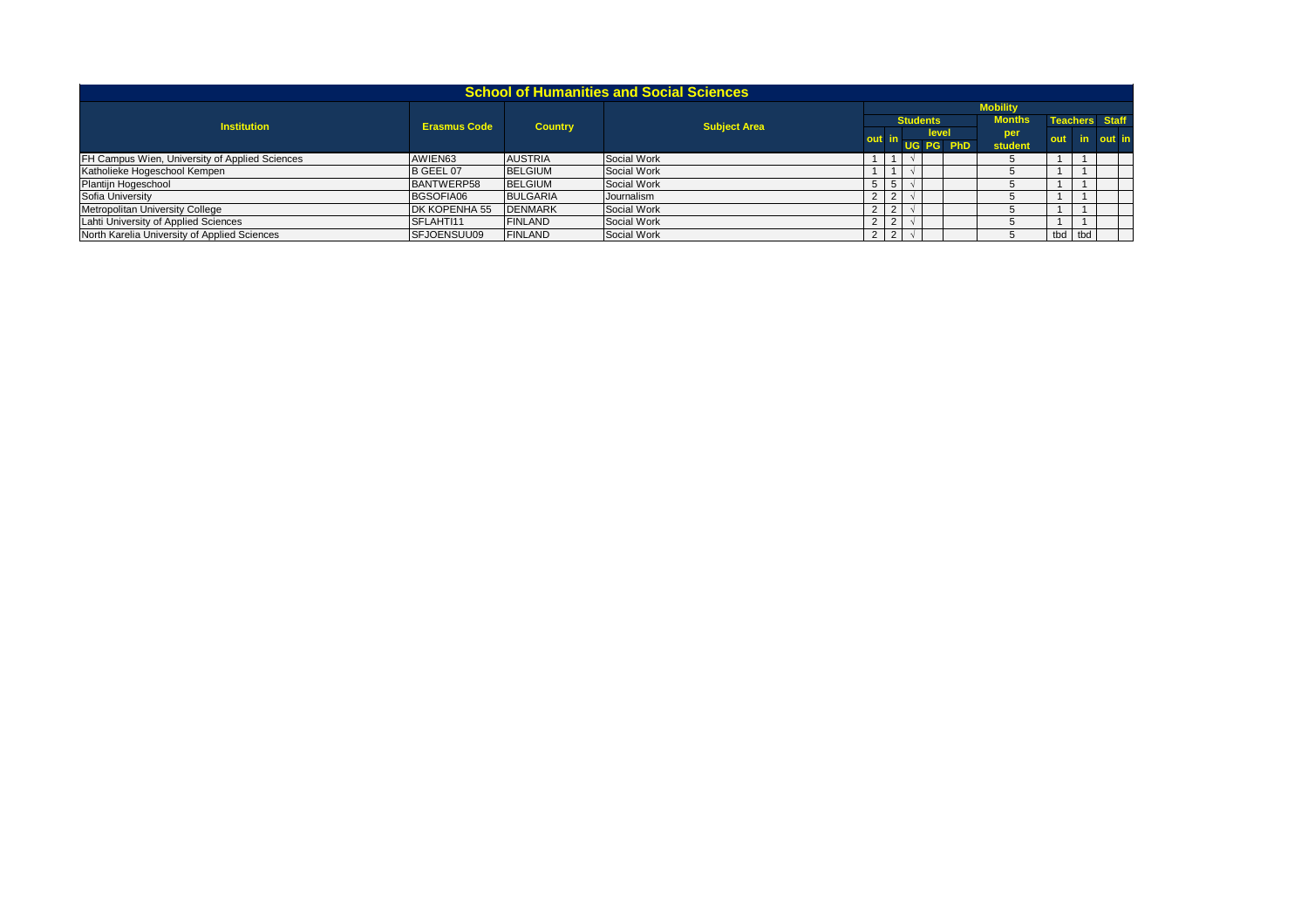| <b>School of Humanities and Social Sciences</b> |                     |                 |                     |       |                 |  |                 |                 |               |     |                       |        |  |
|-------------------------------------------------|---------------------|-----------------|---------------------|-------|-----------------|--|-----------------|-----------------|---------------|-----|-----------------------|--------|--|
|                                                 |                     |                 |                     |       |                 |  |                 | <b>Mobility</b> |               |     |                       |        |  |
| <b>Institution</b>                              | <b>Erasmus Code</b> | <b>Country</b>  | <b>Subject Area</b> |       |                 |  | <b>Students</b> |                 | <b>Months</b> |     | <b>Teachers</b> Staff |        |  |
|                                                 |                     |                 |                     | out i |                 |  |                 | level           | per           | out | in.                   | out in |  |
|                                                 |                     |                 |                     |       |                 |  |                 | UG PG PhD       | student       |     |                       |        |  |
| FH Campus Wien, University of Applied Sciences  | AWIEN63             | <b>AUSTRIA</b>  | Social Work         |       |                 |  |                 |                 |               |     |                       |        |  |
| Katholieke Hogeschool Kempen                    | B GEEL 07           | <b>BELGIUM</b>  | Social Work         |       |                 |  |                 |                 |               |     |                       |        |  |
| Plantijn Hogeschool                             | BANTWERP58          | <b>BELGIUM</b>  | Social Work         | 5     | -5              |  |                 |                 |               |     |                       |        |  |
| Sofia University                                | BGSOFIA06           | <b>BULGARIA</b> | Journalism          |       | 2 <sub>1</sub>  |  |                 |                 |               |     |                       |        |  |
| Metropolitan University College                 | DK KOPENHA 55       | <b>DENMARK</b>  | Social Work         |       | 2               |  |                 |                 |               |     |                       |        |  |
| Lahti University of Applied Sciences            | SFLAHTI11           | <b>FINLAND</b>  | Social Work         |       | 121             |  |                 |                 |               |     |                       |        |  |
| North Karelia University of Applied Sciences    | SFJOENSUU09         | FINLAND         | Social Work         |       | $2 \mid 2 \mid$ |  |                 |                 |               |     | tbd tbd               |        |  |